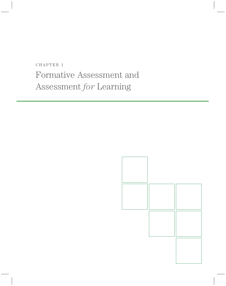CHAPTER 1 Formative Assessment and Assessment *for* Learning

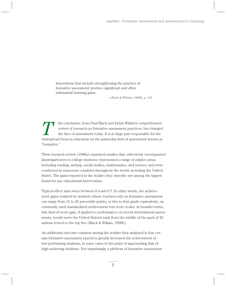Innovations that include strengthening the practice of formative assessment produce significant and often substantial learning gains.

*—Black & Wiliam, 1998b, p. 140*

This conclusion, from Paul Black and Dylan Wiliam's comprehensive<br>review of research on formative assessment practices, has changed<br>the face of assessment today. It is in large part responsible for the<br>widespread focus in review of research on formative assessment practices, has changed the face of assessment today. It is in large part responsible for the widespread focus in education on the particular kind of assessment known as "formative."

Their research review (1998a) examined studies that collectively encompassed kindergarteners to college students; represented a range of subject areas including reading, writing, social studies, mathematics, and science; and were conducted in numerous countries throughout the world, including the United States. The gains reported in the studies they describe are among the largest found for any educational intervention.

Typical effect sizes were between 0.4 and 0.7. In other words, the achievement gains realized by students whose teachers rely on formative assessment can range from 15 to 25 percentile points, or two to four grade equivalents, on commonly used standardized achievement test score scales. In broader terms, this kind of score gain, if applied to performance on recent international assessments, would move the United States's rank from the middle of the pack of 42 nations tested to the top five (Black & Wiliam, 1998b).

An additional outcome common among the studies they analyzed is that certain formative assessment practices greatly increased the achievement of low-performing students, in some cases to the point of approaching that of high-achieving students. Not surprisingly, a plethora of formative assessment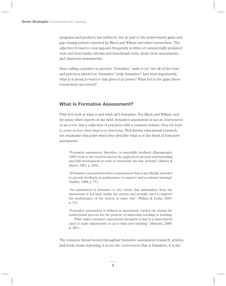programs and products has surfaced, due in part to the achievement gains and gap-closing powers reported by Black and Wiliam and other researchers. The adjective *formative* now appears frequently in titles of commercially prepared tests and item banks, interim and benchmark tests, short-cycle assessments, and classroom assessments.

Does calling a product or practice "formative" make it so? Are all of the tests and practices labeled as "formative" truly formative? And most importantly, what is it about *formative* that gives it its power? What led to the gains these researchers uncovered?

# **What Is Formative Assessment?**

First let's look at what is and what isn't formative. For Black and Wiliam, and for many other experts in the field, formative assessment is not an *instrument* or an *event*, but a collection of practices with a common feature: *they all lead to some action that improves learning*. Well-known educational researchers emphasize this point when they describe what is at the heart of formative assessment:

"Formative assessment, therefore, is essentially feedback (Ramaprasad, 1983) both to the teachers and to the pupil about present understanding and skill development in order to determine the way forward" (Harlen & James, 1997, p. 369).

"[Formative assessment] refers to assessment that is specifically intended to provide feedback on performance to improve and accelerate learning" (Sadler, 1998, p. 77).

"An assessment is formative to the extent that information from the assessment is fed back within the system and actually used to improve the performance of the system in some way" (Wiliam & Leahy, 2007, p. 31).

"Formative assessment is defined as assessment carried out during the instructional process for the purpose of improving teaching or learning. . . . What makes formative assessment formative is that it is immediately used to make adjustments so as to form new learning" (Shepard, 2008, p. 281).

The common thread woven throughout formative assessment research, articles, and books bears repeating: it is *not the instrument* that is formative; it is the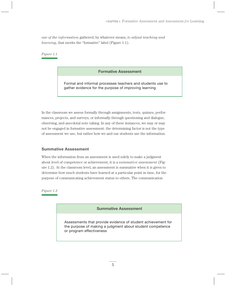*use of the information* gathered, by whatever means, *to adjust teaching and learning*, that merits the "formative" label (Figure 1.1).

*Figure 1.1*

## **Formative Assessment**

Formal and informal processes teachers and students use to gather evidence for the purpose of improving learning

In the classroom we assess formally through assignments, tests, quizzes, performances, projects, and surveys; or informally through questioning and dialogue, observing, and anecdotal note taking. In any of these instances, we may or may not be engaged in formative assessment: the determining factor is not the type of assessment we use, but rather how we and our students use the information.

## **Summative Assessment**

When the information from an assessment is used solely to make a judgment about level of competence or achievement, it is a *summative assessment* (Figure 1.2). At the classroom level, an assessment is summative when it is given to determine how much students have learned at a particular point in time, for the purpose of communicating achievement status to others. The communication

*Figure 1.2*

**Summative Assessment**

Assessments that provide evidence of student achievement for the purpose of making a judgment about student competence or program effectiveness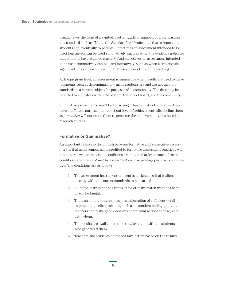usually takes the form of a symbol, a letter grade or number, or a comparison to a standard such as "Meets the Standard" or "Proficient," that is reported to students and eventually to parents. Sometimes an assessment intended to be used formatively can be used summatively, such as when the evidence indicates that students have attained mastery. And sometimes an assessment intended to be used summatively can be used formatively, such as when a test reveals significant problems with learning that we address through reteaching.

At the program level, an assessment is summative when results are used to make judgments such as determining how many students are and are not meeting standards in a certain subject for purposes of accountability. The data may be reported to educators within the system, the school board, and the community.

Summative assessments aren't bad or wrong. They're just not formative; they have a different purpose—to report out level of achievement. Mislabeling them as *formative* will not cause them to generate the achievement gains noted in research studies.

## **Formative or Summative?**

An important reason to distinguish between formative and summative assessment is that achievement gains credited to formative assessment practices will not materialize unless certain conditions are met, and at least some of these conditions are often *not* met by assessments whose primary purpose is summative. The conditions are as follows:

- 1. The assessment instrument or event is designed so that it aligns directly with the content standards to be learned.
- 2. All of the instrument or event's items or tasks match what has been or will be taught.
- 3. The instrument or event provides information of sufficient detail to pinpoint specific problems, such as misunderstandings, so that teachers can make good decisions about what actions to take, and with whom.
- 4. The results are available in time to take action with the students who generated them.
- 5. Teachers and students do indeed take action based on the results.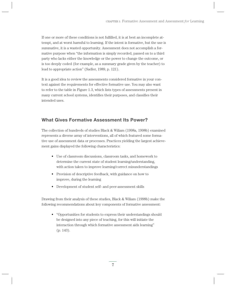If one or more of these conditions is not fulfilled, it is at best an incomplete attempt, and at worst harmful to learning. If the intent is formative, but the use is summative, it is a wasted opportunity. Assessment does not accomplish a formative purpose when "the information is simply recorded, passed on to a third party who lacks either the knowledge or the power to change the outcome, or is too deeply coded (for example, as a summary grade given by the teacher) to lead to appropriate action" (Sadler, 1989, p. 121).

It is a good idea to review the assessments considered formative in your context against the requirements for effective formative use. You may also want to refer to the table in Figure 1.3, which lists types of assessments present in many current school systems, identifies their purposes, and classifies their intended uses.

# **What Gives Formative Assessment Its Power?**

The collection of hundreds of studies Black & Wiliam (1998a, 1998b) examined represents a diverse array of interventions, all of which featured some formative use of assessment data or processes. Practices yielding the largest achievement gains displayed the following characteristics:

- • Use of classroom discussions, classroom tasks, and homework to determine the current state of student learning/understanding, with action taken to improve learning/correct misunderstandings
- Provision of descriptive feedback, with guidance on how to improve, during the learning
- Development of student self- and peer-assessment skills

Drawing from their analysis of these studies, Black & Wiliam (1998b) make the following recommendations about key components of formative assessment:

• "Opportunities for students to express their understandings should be designed into any piece of teaching, for this will initiate the interaction through which formative assessment aids learning" (p. 143).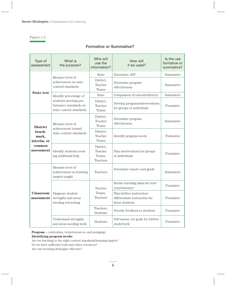### *Figure 1.3*

## **Formative or Summative?**

| Type of<br>assessment                                                     | What is<br>the purpose?                                                                             | Who will<br>use the<br>information?        | How will<br>it be used?                                                      | Is the use<br>formative or<br>summative? |
|---------------------------------------------------------------------------|-----------------------------------------------------------------------------------------------------|--------------------------------------------|------------------------------------------------------------------------------|------------------------------------------|
| <b>State test</b>                                                         | Measure level of<br>achievement on state<br>content standards                                       | <b>State</b>                               | Determine AYP                                                                | Summative                                |
|                                                                           |                                                                                                     | District,<br>Teacher<br>Teams              | Determine program<br>effectiveness                                           | Summative                                |
|                                                                           | Identify percentage of<br>students meeting per-<br>formance standards on<br>state content standards | <b>State</b>                               | Comparison of schools/districts                                              | Summative                                |
|                                                                           |                                                                                                     | District,<br>Teacher<br>Teams              | Develop programs/interventions<br>for groups or individuals                  | Formative                                |
| <b>District</b><br>bench-<br>mark,<br>interim, or<br>common<br>assessment | Measure level of<br>achievement toward<br>state content standards                                   | District,<br>Teacher<br>Teams              | Determine program<br>effectiveness                                           | Summative                                |
|                                                                           |                                                                                                     | District,<br>Teacher<br>Teams              | Identify program needs                                                       | Formative                                |
|                                                                           | Identify students need-<br>ing additional help                                                      | District,<br>Teacher<br>Teams,<br>Teachers | Plan interventions for groups<br>or individuals                              | Formative                                |
| <b>Classroom</b><br>assessment                                            | Measure level of<br>achievement on learning<br>targets taught                                       | Teachers                                   | Determine report card grade                                                  | Summative                                |
|                                                                           | Diagnose student<br>strengths and areas<br>needing reteaching                                       | Teacher<br>Teams,<br>Teachers              | Revise teaching plans for next<br>year/semester                              | Formative                                |
|                                                                           |                                                                                                     |                                            | Plan further instruction/<br>differentiate instruction for<br>these students | Formative                                |
|                                                                           |                                                                                                     | Teachers,<br>Students                      | Provide feedback to students                                                 | Formative                                |
|                                                                           | Understand strengths<br>and areas needing work                                                      | Students                                   | Self-assess, set goals for further<br>study/work                             | Formative                                |

**Program** = curriculum, texts/resources, and pedagogy

#### **Identifying program needs:**

Are we teaching to the right content standards/learning targets?

Do we have sufficient texts and other resources?

Are our teaching strategies effective?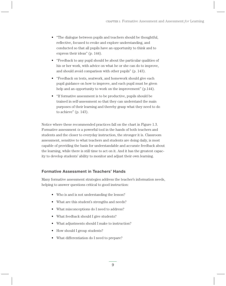- "The dialogue between pupils and teachers should be thoughtful, reflective, focused to evoke and explore understanding, and conducted so that all pupils have an opportunity to think and to express their ideas" (p. 144).
- "Feedback to any pupil should be about the particular qualities of his or her work, with advice on what he or she can do to improve, and should avoid comparison with other pupils" (p. 143).
- "Feedback on tests, seatwork, and homework should give each pupil guidance on how to improve, and each pupil must be given help and an opportunity to work on the improvement" (p.144).
- "If formative assessment is to be productive, pupils should be trained in self-assessment so that they can understand the main purposes of their learning and thereby grasp what they need to do to achieve" (p. 143).

Notice where these recommended practices fall on the chart in Figure 1.3. Formative assessment *is* a powerful tool in the hands of both teachers and students and the closer to everyday instruction, the stronger it is. Classroom assessment, sensitive to what teachers and students are doing daily, is most capable of providing the basis for understandable and accurate feedback about the learning, while there is still time to act on it. And it has the greatest capacity to develop students' ability to monitor and adjust their own learning.

## **Formative Assessment in Teachers' Hands**

Many formative assessment strategies address the teacher's information needs, helping to answer questions critical to good instruction:

- Who is and is not understanding the lesson?
- What are this student's strengths and needs?
- What misconceptions do I need to address?
- What feedback should I give students?
- What adjustments should I make to instruction?
- How should I group students?
- What differentiation do I need to prepare?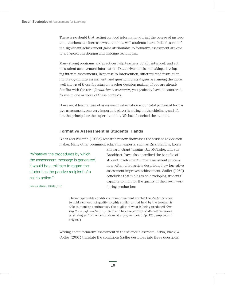There is no doubt that, acting on good information during the course of instruction, teachers can increase what and how well students learn. Indeed, some of the significant achievement gains attributable to formative assessment are due to enhanced questioning and dialogue techniques.

Many strong programs and practices help teachers obtain, interpret, and act on student achievement information. Data-driven decision making, developing interim assessments, Response to Intervention, differentiated instruction, minute-by-minute assessment, and questioning strategies are among the more well known of those focusing on teacher decision making. If you are already familiar with the term *formative assessment*, you probably have encountered its use in one or more of these contexts.

However, if teacher use of assessment information is our total picture of formative assessment, one very important player is sitting on the sidelines, and it's not the principal or the superintendent. We have benched the student.

## **Formative Assessment in Students' Hands**

Black and Wiliam's (1998a) research review showcases the student as decision maker. Many other prominent education experts, such as Rick Stiggins, Lorrie

"Whatever the procedures by which the assessment message is generated, it would be a mistake to regard the student as the passive recipient of a call to action."

Shepard, Grant Wiggins, Jay McTighe, and Sue Brookhart, have also described the benefits of student involvement in the assessment process. In an often-cited article describing how formative assessment improves achievement, Sadler (1989) concludes that it hinges on developing students' capacity to monitor the quality of their own work during production:

*Black & Wiliam, 1998a, p. 21*

The indispensable conditions for improvement are that the *student* comes to hold a concept of quality roughly similar to that held by the teacher, is able to monitor continuously the quality of what is being produced *during the act of production itself*, and has a repertoire of alternative moves or strategies from which to draw at any given point. (p. 121, emphasis in original)

Writing about formative assessment in the science classroom, Atkin, Black, & Coffey (2001) translate the conditions Sadler describes into three questions: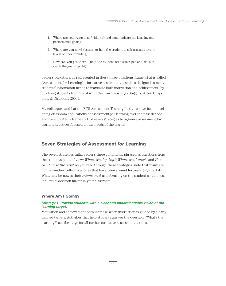- 1. Where are you trying to go? (identify and communicate the learning and performance goals);
- 2. Where are you now? (assess, or help the student to self-assess, current levels of understanding);
- 3. How can you get there? (help the student with strategies and skills to reach the goal). (p. 14)

Sadler's conditions as represented in these three questions frame what is called "Assessment *for* Learning"—formative assessment practices designed to meet students' information needs to maximize both motivation and achievement, by involving students from the start in their own learning (Stiggins, Arter, Chappuis, & Chappuis, 2004).

My colleagues and I at the ETS Assessment Training Institute have been developing classroom applications of assessment *for* learning over the past decade and have created a framework of seven strategies to organize assessment *for* learning practices focused on the needs of the learner.

# **Seven Strategies of Assessment** *for* **Learning**

The seven strategies fulfill Sadler's three conditions, phrased as questions from the student's point of view: *Where am I going?*; *Where am I now?*; and *How can I close the gap?* As you read through these strategies, note that many are not new—they reflect practices that have been around for years (Figure 1.4). What may be new is their *intentional* use, focusing on the student as the most influential decision maker in your classroom.

## **Where Am I Going?**

## *Strategy 1: Provide students with a clear and understandable vision of the learning target.*

Motivation and achievement both increase when instruction is guided by clearly defined targets. Activities that help students answer the question, "What's the learning?" set the stage for all further formative assessment actions.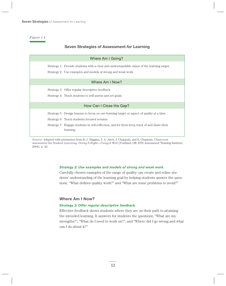*Figure 1.4*

## **Seven Strategies of Assessment** *for* **Learning**

| Where Am I Going?        |                                                                                                                                                                                                                                                       |  |  |  |
|--------------------------|-------------------------------------------------------------------------------------------------------------------------------------------------------------------------------------------------------------------------------------------------------|--|--|--|
|                          | Strategy 1: Provide students with a clear and understandable vision of the learning target.<br>Strategy 2: Use examples and models of strong and weak work.                                                                                           |  |  |  |
| Where Am I Now?          |                                                                                                                                                                                                                                                       |  |  |  |
|                          | Strategy 3: Offer regular descriptive feedback.<br>Strategy 4: Teach students to self-assess and set goals.                                                                                                                                           |  |  |  |
| How Can I Close the Gap? |                                                                                                                                                                                                                                                       |  |  |  |
|                          | Strategy 5: Design lessons to focus on one learning target or aspect of quality at a time.<br>Strategy 6: Teach students focused revision.<br>Strategy 7: Engage students in self-reflection, and let them keep track of and share their<br>learning. |  |  |  |

*Source:* Adapted with permission from R. J. Stiggins, J. A. Arter, J. Chappuis, and S. Chappuis, *Classroom Assessment* for *Student Learning: Doing It Right—Using It Well* (Portland, OR: ETS Assessment Training Institute, 2004), p. 42.

#### *Strategy 2: Use examples and models of strong and weak work.*

Carefully chosen examples of the range of quality can create and refine students' understanding of the learning goal by helping students answer the questions, "What defines quality work?" and "What are some problems to avoid?"

## **Where Am I Now?**

## *Strategy 3: Offer regular descriptive feedback.*

Effective feedback shows students where they are on their path to attaining the intended learning. It answers for students the questions, "What are my strengths?"; "What do I need to work on?"; and "Where did I go wrong and what can I do about it?"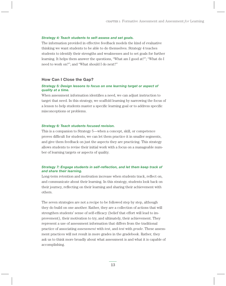#### *Strategy 4: Teach students to self-assess and set goals.*

The information provided in effective feedback models the kind of evaluative thinking we want students to be able to do themselves. Strategy 4 teaches students to identify their strengths and weaknesses and to set goals for further learning. It helps them answer the questions, "What am I good at?"; "What do I need to work on?"; and "What should I do next?"

## **How Can I Close the Gap?**

### *Strategy 5: Design lessons to focus on one learning target or aspect of quality at a time.*

When assessment information identifies a need, we can adjust instruction to target that need. In this strategy, we scaffold learning by narrowing the focus of a lesson to help students master a specific learning goal or to address specific misconceptions or problems.

#### *Strategy 6: Teach students focused revision.*

This is a companion to Strategy 5—when a concept, skill, or competence proves difficult for students, we can let them practice it in smaller segments, and give them feedback on just the aspects they are practicing. This strategy allows students to revise their initial work with a focus on a manageable number of learning targets or aspects of quality.

#### *Strategy 7: Engage students in self-reflection, and let them keep track of and share their learning.*

Long-term retention and motivation increase when students track, reflect on, and communicate about their learning. In this strategy, students look back on their journey, reflecting on their learning and sharing their achievement with others.

The seven strategies are not a recipe to be followed step by step, although they do build on one another. Rather, they are a collection of actions that will strengthen students' sense of self-efficacy (belief that effort will lead to improvement), their motivation to try, and ultimately, their achievement. They represent a use of assessment information that differs from the traditional practice of associating *assessment* with *test*, and *test* with *grade*. These assessment practices will not result in more grades in the gradebook. Rather, they ask us to think more broadly about what assessment is and what it is capable of accomplishing.